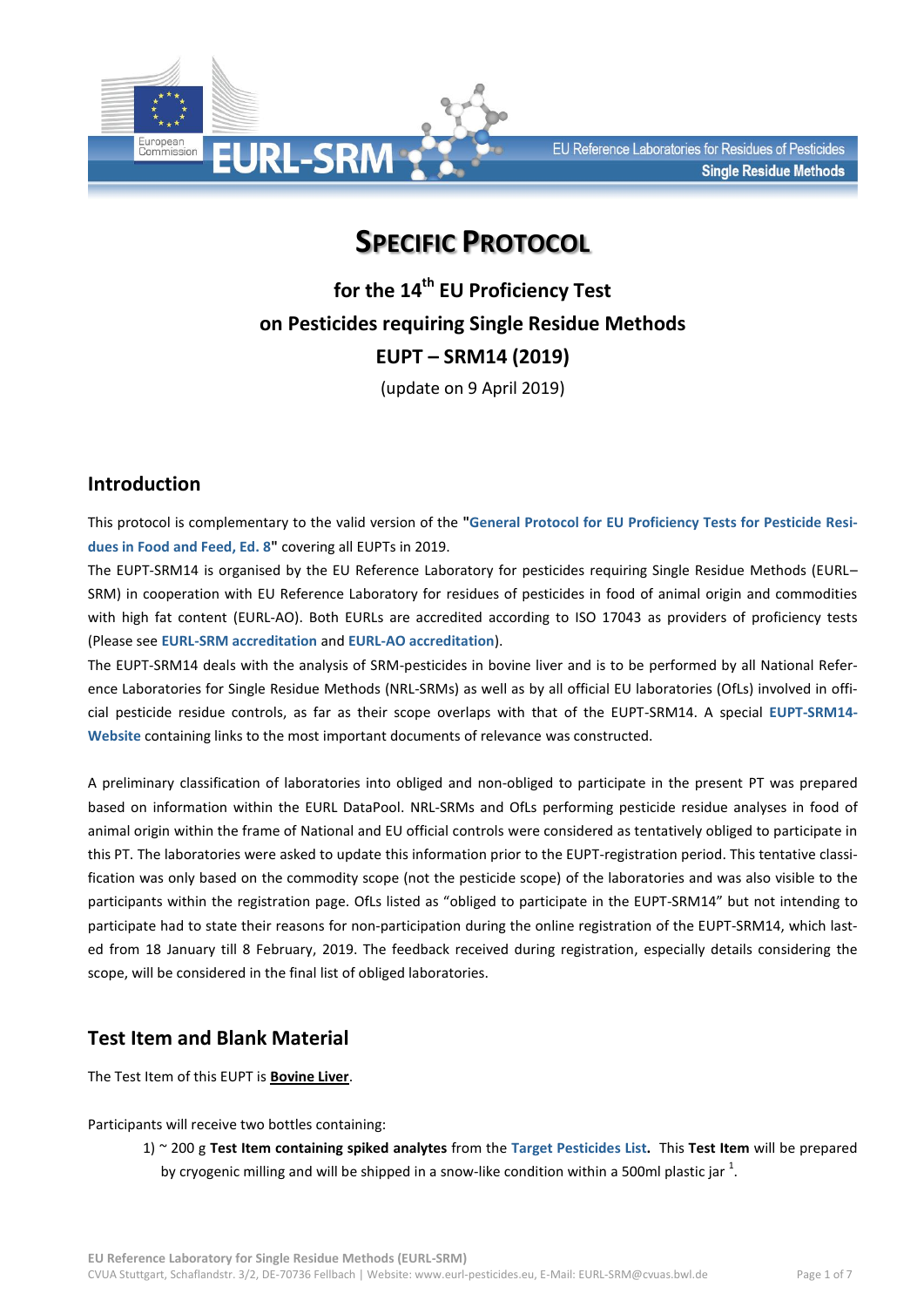

# **SPECIFIC PROTOCOL**

**for the 14 th EU Proficiency Test on Pesticides requiring Single Residue Methods EUPT – SRM14 (2019)**

(update on 9 April 2019)

# **Introduction**

This protocol is complementary to the valid version of the **["General Protocol for EU Proficiency Tests for Pesticide Resi](http://www.eurl-pesticides.eu/userfiles/file/General_Protocol_v_8(1).pdf)[dues in Food and Feed, Ed. 8"](http://www.eurl-pesticides.eu/userfiles/file/General_Protocol_v_8(1).pdf)** covering all EUPTs in 2019.

The EUPT-SRM14 is organised by the EU Reference Laboratory for pesticides requiring Single Residue Methods (EURL– SRM) in cooperation with EU Reference Laboratory for residues of pesticides in food of animal origin and commodities with high fat content (EURL-AO). Both EURLs are accredited according to ISO 17043 as providers of proficiency tests (Please see **[EURL-SRM accreditation](http://www.eurl-pesticides.eu/docs/public/tmplt_article.asp?CntID=944&LabID=200&Lang=EN)** and **[EURL-AO accreditation](http://www.eurl-pesticides.eu/docs/public/tmplt_article.asp?CntID=925&LabID=300&Lang=EN)**).

The EUPT-SRM14 deals with the analysis of SRM-pesticides in bovine liver and is to be performed by all National Reference Laboratories for Single Residue Methods (NRL-SRMs) as well as by all official EU laboratories (OfLs) involved in official pesticide residue controls, as far as their scope overlaps with that of the EUPT-SRM14. A special **[EUPT-SRM14-](http://www.eurl-pesticides.eu/docs/public/tmplt_article.asp?LabID=200&CntID=1100&Theme_ID=1&Pdf=False&Lang=EN) [Website](http://www.eurl-pesticides.eu/docs/public/tmplt_article.asp?LabID=200&CntID=1100&Theme_ID=1&Pdf=False&Lang=EN)** containing links to the most important documents of relevance was constructed.

A preliminary classification of laboratories into obliged and non-obliged to participate in the present PT was prepared based on information within the EURL DataPool. NRL-SRMs and OfLs performing pesticide residue analyses in food of animal origin within the frame of National and EU official controls were considered as tentatively obliged to participate in this PT. The laboratories were asked to update this information prior to the EUPT-registration period. This tentative classification was only based on the commodity scope (not the pesticide scope) of the laboratories and was also visible to the participants within the registration page. OfLs listed as "obliged to participate in the EUPT-SRM14" but not intending to participate had to state their reasons for non-participation during the online registration of the EUPT-SRM14, which lasted from 18 January till 8 February, 2019. The feedback received during registration, especially details considering the scope, will be considered in the final list of obliged laboratories.

# **Test Item and Blank Material**

The Test Item of this EUPT is **Bovine Liver**.

Participants will receive two bottles containing:

1) ~ 200 g **Test Item containing spiked analytes** from the **[Target Pesticides](http://www.eurl-pesticides.eu/library/docs/srm/EUPT-SRM13_TargetPesticideList.pdf) List.** This **Test Item** will be prepared by cryogenic milling and will be shipped in a snow-like condition within a 500ml plastic jar  $^1$ .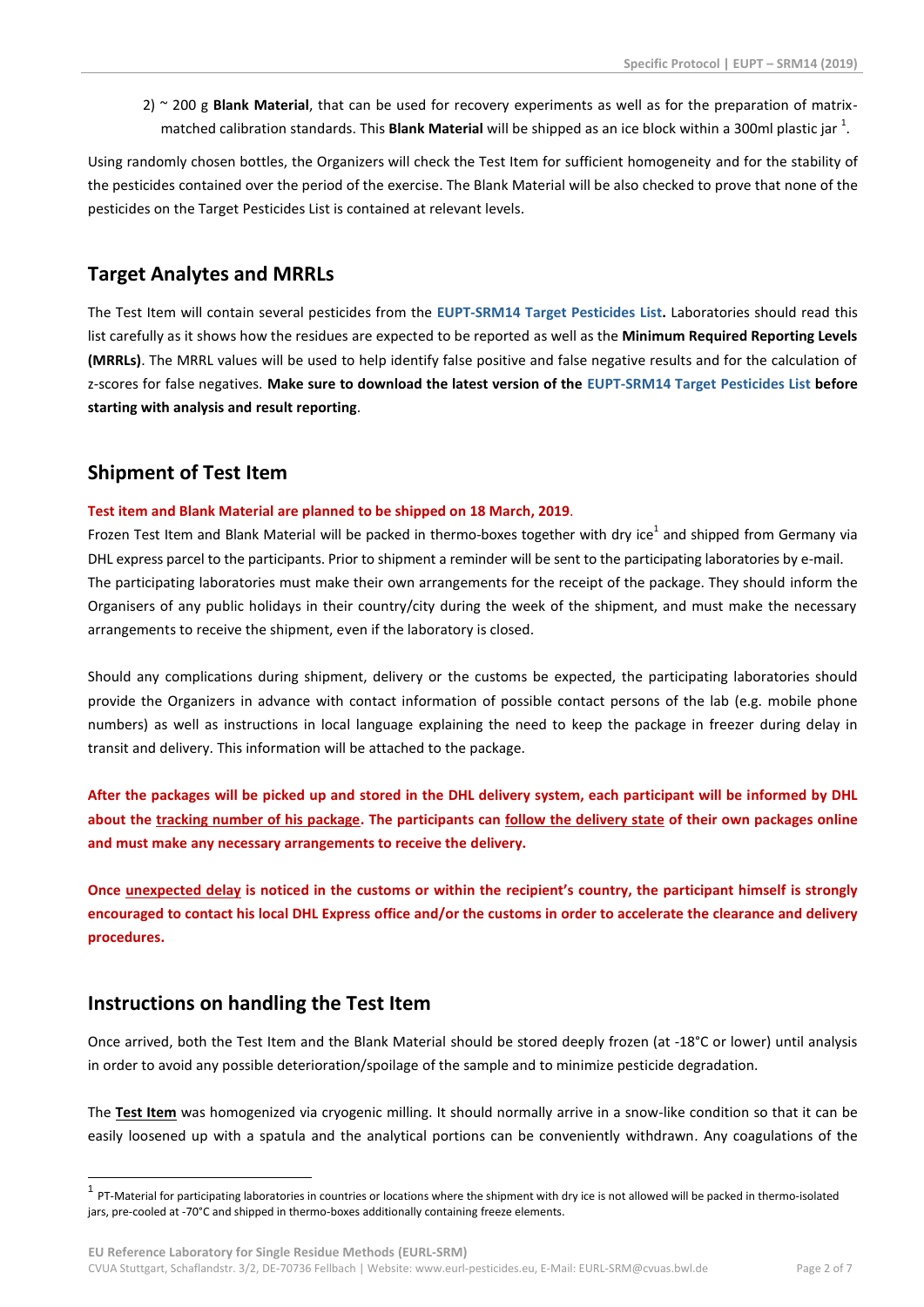2) ~ 200 g **Blank Material**, that can be used for recovery experiments as well as for the preparation of matrixmatched calibration standards. This **Blank Material** will be shipped as an ice block within a 300ml plastic jar <sup>1</sup>.

Using randomly chosen bottles, the Organizers will check the Test Item for sufficient homogeneity and for the stability of the pesticides contained over the period of the exercise. The Blank Material will be also checked to prove that none of the pesticides on the Target Pesticides List is contained at relevant levels.

# **Target Analytes and MRRLs**

The Test Item will contain several pesticides from the **EUPT-SRM14 [Target Pesticides](http://www.eurl-pesticides.eu/library/docs/srm/EUPT-SRM14_TargetPesticideList.pdf) List.** Laboratories should read this list carefully as it shows how the residues are expected to be reported as well as the **Minimum Required Reporting Levels (MRRLs)**. The MRRL values will be used to help identify false positive and false negative results and for the calculation of z-scores for false negatives. **Make sure to download the latest version of the EUPT-SRM14 [Target Pesticides List](http://www.eurl-pesticides.eu/library/docs/srm/EUPT-SRM14_TargetPesticideList.pdf) before starting with analysis and result reporting**.

# **Shipment of Test Item**

## **Test item and Blank Material are planned to be shipped on 18 March, 2019**.

Frozen Test Item and Blank Material will be packed in thermo-boxes together with dry ice<sup>1</sup> and shipped from Germany via DHL express parcel to the participants. Prior to shipment a reminder will be sent to the participating laboratories by e-mail. The participating laboratories must make their own arrangements for the receipt of the package. They should inform the Organisers of any public holidays in their country/city during the week of the shipment, and must make the necessary arrangements to receive the shipment, even if the laboratory is closed.

Should any complications during shipment, delivery or the customs be expected, the participating laboratories should provide the Organizers in advance with contact information of possible contact persons of the lab (e.g. mobile phone numbers) as well as instructions in local language explaining the need to keep the package in freezer during delay in transit and delivery. This information will be attached to the package.

**After the packages will be picked up and stored in the DHL delivery system, each participant will be informed by DHL about the tracking number of his package. The participants can follow the delivery state of their own packages online and must make any necessary arrangements to receive the delivery.**

**Once unexpected delay is noticed in the customs or within the recipient's country, the participant himself is strongly encouraged to contact his local DHL Express office and/or the customs in order to accelerate the clearance and delivery procedures.**

# **Instructions on handling the Test Item**

<u>.</u>

Once arrived, both the Test Item and the Blank Material should be stored deeply frozen (at -18°C or lower) until analysis in order to avoid any possible deterioration/spoilage of the sample and to minimize pesticide degradation.

The **Test Item** was homogenized via cryogenic milling. It should normally arrive in a snow-like condition so that it can be easily loosened up with a spatula and the analytical portions can be conveniently withdrawn. Any coagulations of the

<sup>1</sup> PT-Material for participating laboratories in countries or locations where the shipment with dry ice is not allowed will be packed in thermo-isolated jars, pre-cooled at -70°C and shipped in thermo-boxes additionally containing freeze elements.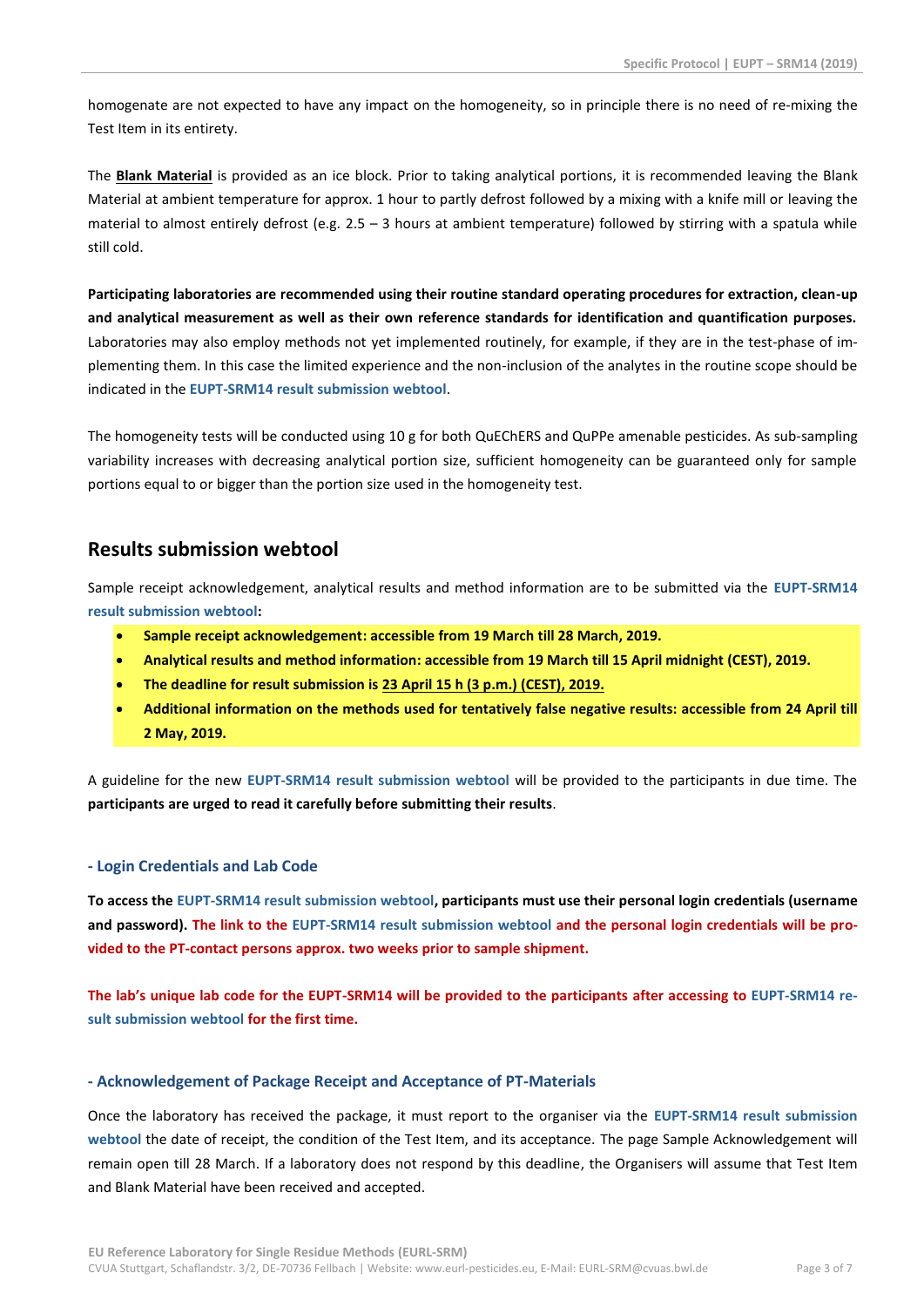homogenate are not expected to have any impact on the homogeneity, so in principle there is no need of re-mixing the Test Item in its entirety.

The **Blank Material** is provided as an ice block. Prior to taking analytical portions, it is recommended leaving the Blank Material at ambient temperature for approx. 1 hour to partly defrost followed by a mixing with a knife mill or leaving the material to almost entirely defrost (e.g. 2.5 – 3 hours at ambient temperature) followed by stirring with a spatula while still cold.

**Participating laboratories are recommended using their routine standard operating procedures for extraction, clean-up and analytical measurement as well as their own reference standards for identification and quantification purposes.** Laboratories may also employ methods not yet implemented routinely, for example, if they are in the test-phase of implementing them. In this case the limited experience and the non-inclusion of the analytes in the routine scope should be indicated in the **[EUPT-SRM14 result submission webtool](http://www.eurl.dtu.dk/)**.

The homogeneity tests will be conducted using 10 g for both QuEChERS and QuPPe amenable pesticides. As sub-sampling variability increases with decreasing analytical portion size, sufficient homogeneity can be guaranteed only for sample portions equal to or bigger than the portion size used in the homogeneity test.

# **Results submission webtool**

Sample receipt acknowledgement, analytical results and method information are to be submitted via the **[EUPT-SRM14](http://www.eurl.dtu.dk/)  [result submission webtool:](http://www.eurl.dtu.dk/)**

- **Sample receipt acknowledgement: accessible from 19 March till 28 March, 2019.**
- **Analytical results and method information: accessible from 19 March till 15 April midnight (CEST), 2019.**
- **The deadline for result submission is 23 April 15 h (3 p.m.) (CEST), 2019.**
- **Additional information on the methods used for tentatively false negative results: accessible from 24 April till 2 May, 2019.**

A guideline for the new **[EUPT-SRM14 result submission webtool](http://www.eurl.dtu.dk/)** will be provided to the participants in due time. The **participants are urged to read it carefully before submitting their results**.

## **- Login Credentials and Lab Code**

**To access the [EUPT-SRM14 result submission webtool,](http://www.eurl.dtu.dk/) participants must use their personal login credentials (username and password). The link to the [EUPT-SRM14 result submission webtool](http://www.eurl.dtu.dk/) and the personal login credentials will be provided to the PT-contact persons approx. two weeks prior to sample shipment.**

**The lab's unique lab code for the EUPT-SRM14 will be provided to the participants after accessing to [EUPT-SRM14 re](http://www.eurl.dtu.dk/)[sult submission webtool](http://www.eurl.dtu.dk/) for the first time.**

## **- Acknowledgement of Package Receipt and Acceptance of PT-Materials**

Once the laboratory has received the package, it must report to the organiser via the **[EUPT-SRM14 result submission](http://www.eurl.dtu.dk/)  [webtool](http://www.eurl.dtu.dk/)** the date of receipt, the condition of the Test Item, and its acceptance. The page Sample Acknowledgement will remain open till 28 March. If a laboratory does not respond by this deadline, the Organisers will assume that Test Item and Blank Material have been received and accepted.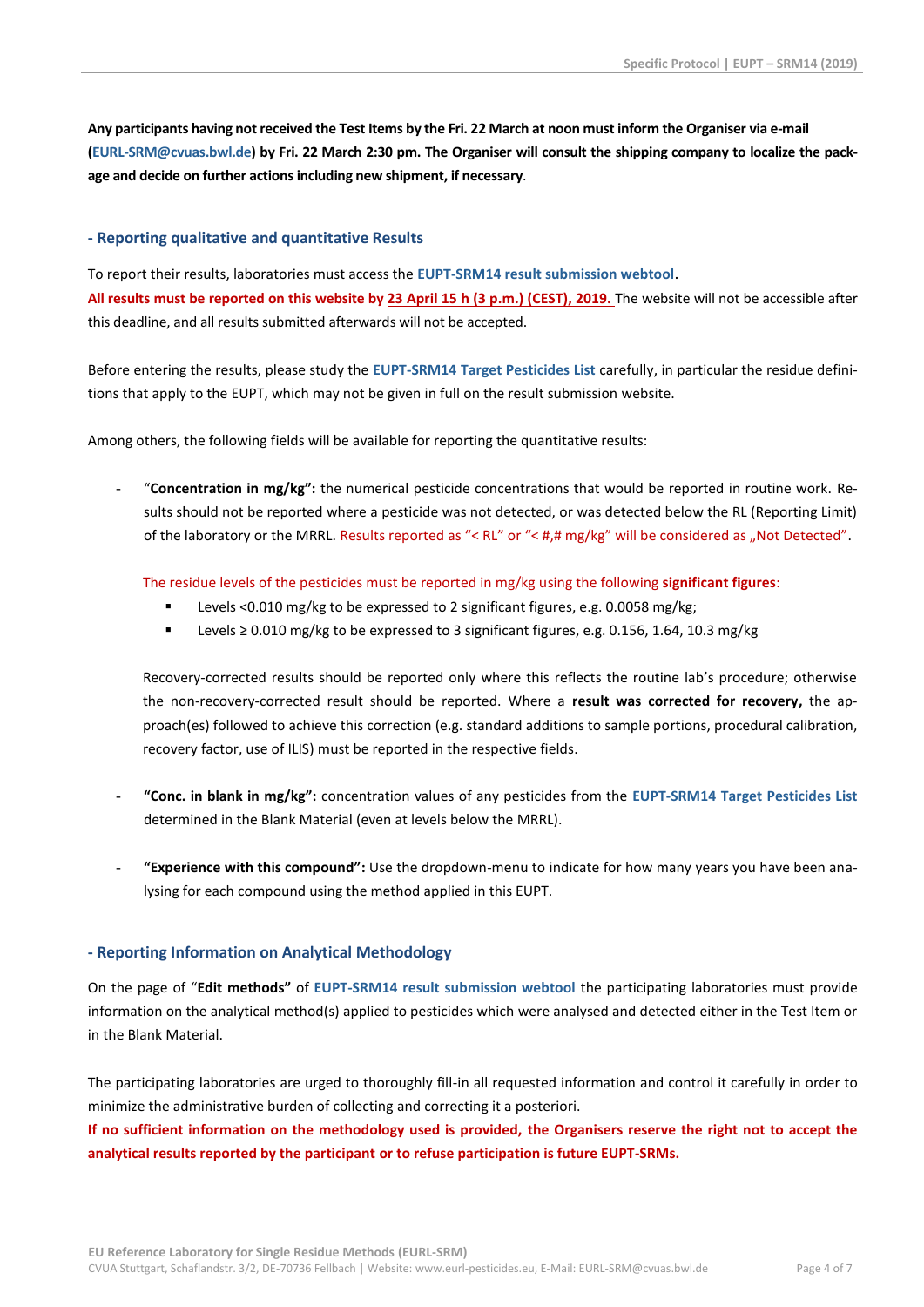**Any participants having not received the Test Items by the Fri. 22 March at noon must inform the Organiser via e-mail [\(EURL-SRM@cvuas.bwl.de\)](mailto:EURL-SRM@cvuas.bwl.de) by Fri. 22 March 2:30 pm. The Organiser will consult the shipping company to localize the package and decide on further actionsincluding new shipment, if necessary**.

#### **- Reporting qualitative and quantitative Results**

To report their results, laboratories must access the **[EUPT-SRM14 result submission webtool](http://www.eurl.dtu.dk/)**. **All results must be reported on this website by 23 April 15 h (3 p.m.) (CEST), 2019.** The website will not be accessible after this deadline, and all results submitted afterwards will not be accepted.

Before entering the results, please study the **EUPT-SRM14 [Target Pesticides List](http://www.eurl-pesticides.eu/library/docs/srm/EUPT-SRM14_TargetPesticideList.pdf)** carefully, in particular the residue definitions that apply to the EUPT, which may not be given in full on the result submission website.

Among others, the following fields will be available for reporting the quantitative results:

- "**Concentration in mg/kg":** the numerical pesticide concentrations that would be reported in routine work. Results should not be reported where a pesticide was not detected, or was detected below the RL (Reporting Limit) of the laboratory or the MRRL. Results reported as "< RL" or "< #,# mg/kg" will be considered as "Not Detected".

The residue levels of the pesticides must be reported in mg/kg using the following **significant figures**:

- Levels <0.010 mg/kg to be expressed to 2 significant figures, e.g. 0.0058 mg/kg;
- Levels ≥ 0.010 mg/kg to be expressed to 3 significant figures, e.g. 0.156, 1.64, 10.3 mg/kg

Recovery-corrected results should be reported only where this reflects the routine lab's procedure; otherwise the non-recovery-corrected result should be reported. Where a **result was corrected for recovery,** the approach(es) followed to achieve this correction (e.g. standard additions to sample portions, procedural calibration, recovery factor, use of ILIS) must be reported in the respective fields.

- **"Conc. in blank in mg/kg":** concentration values of any pesticides from the **EUPT-SRM14 [Target Pesticides List](http://www.eurl-pesticides.eu/library/docs/srm/EUPT-SRM14_TargetPesticideList.pdf)** determined in the Blank Material (even at levels below the MRRL).
- **"Experience with this compound":** Use the dropdown-menu to indicate for how many years you have been analysing for each compound using the method applied in this EUPT.

#### **- Reporting Information on Analytical Methodology**

On the page of "**Edit methods"** of **[EUPT-SRM14 result submission webtool](http://www.eurl.dtu.dk/)** the participating laboratories must provide information on the analytical method(s) applied to pesticides which were analysed and detected either in the Test Item or in the Blank Material.

The participating laboratories are urged to thoroughly fill-in all requested information and control it carefully in order to minimize the administrative burden of collecting and correcting it a posteriori.

**If no sufficient information on the methodology used is provided, the Organisers reserve the right not to accept the analytical results reported by the participant or to refuse participation is future EUPT-SRMs.**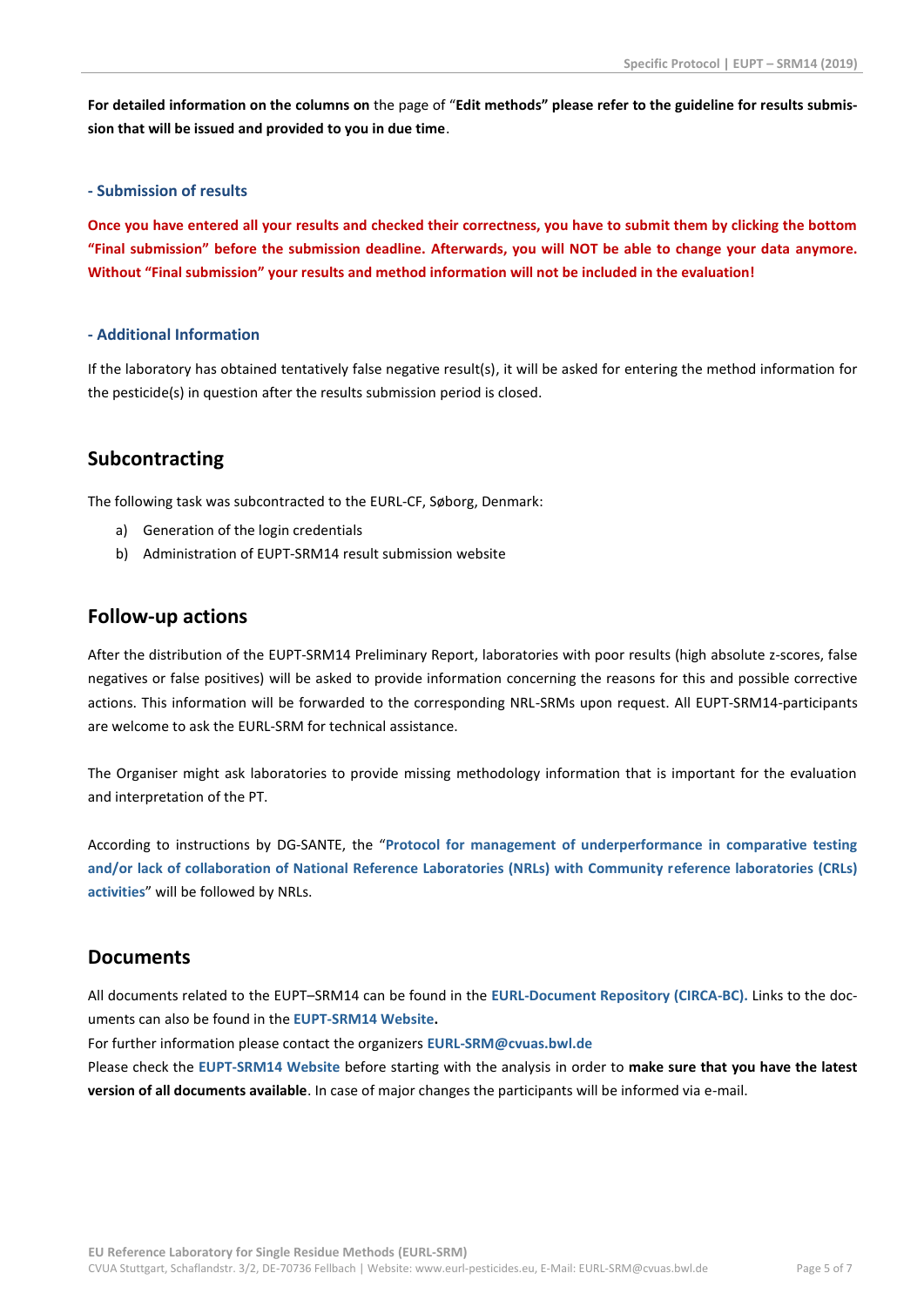**For detailed information on the columns on** the page of "**Edit methods" please refer to the guideline for results submission that will be issued and provided to you in due time**.

## **- Submission of results**

**Once you have entered all your results and checked their correctness, you have to submit them by clicking the bottom "Final submission" before the submission deadline. Afterwards, you will NOT be able to change your data anymore. Without "Final submission" your results and method information will not be included in the evaluation!**

## **- Additional Information**

If the laboratory has obtained tentatively false negative result(s), it will be asked for entering the method information for the pesticide(s) in question after the results submission period is closed.

# **Subcontracting**

The following task was subcontracted to the EURL-CF, Søborg, Denmark:

- a) Generation of the login credentials
- b) Administration of EUPT-SRM14 result submission website

## **Follow-up actions**

After the distribution of the EUPT-SRM14 Preliminary Report, laboratories with poor results (high absolute z-scores, false negatives or false positives) will be asked to provide information concerning the reasons for this and possible corrective actions. This information will be forwarded to the corresponding NRL-SRMs upon request. All EUPT-SRM14-participants are welcome to ask the EURL-SRM for technical assistance.

The Organiser might ask laboratories to provide missing methodology information that is important for the evaluation and interpretation of the PT.

According to instructions by DG-SANTE, the "**[Protocol for management of underperformance in comparative testing](http://www.eurl-pesticides.eu/docs/public/tmplt_article.asp?CntID=672&LabID=100&Lang=EN)  [and/or lack of collaboration of National Reference Laboratories \(NRLs\) with Community reference laboratories \(CRLs\)](http://www.eurl-pesticides.eu/docs/public/tmplt_article.asp?CntID=672&LabID=100&Lang=EN)  [activities](http://www.eurl-pesticides.eu/docs/public/tmplt_article.asp?CntID=672&LabID=100&Lang=EN)**" will be followed by NRLs.

# **Documents**

All documents related to the EUPT–SRM14 can be found in the **[EURL-Document Repository \(CIRCA-BC\).](https://circabc.europa.eu/w/browse/2bf8a04a-0137-47cc-bf5e-b4e854c13316)** Links to the documents can also be found in the **[EUPT-SRM14](http://www.eurl-pesticides.eu/docs/public/tmplt_article.asp?LabID=200&CntID=1100&Theme_ID=1&Pdf=False&Lang=EN) Website.**

For further information please contact the organizers **[EURL-SRM@cvuas.bwl.de](mailto:EURL-SRM@cvuas.bwl.de)**

Please check the **[EUPT-SRM14](http://www.eurl-pesticides.eu/docs/public/tmplt_article.asp?LabID=200&CntID=1100&Theme_ID=1&Pdf=False&Lang=EN) Website** before starting with the analysis in order to **make sure that you have the latest version of all documents available**. In case of major changes the participants will be informed via e-mail.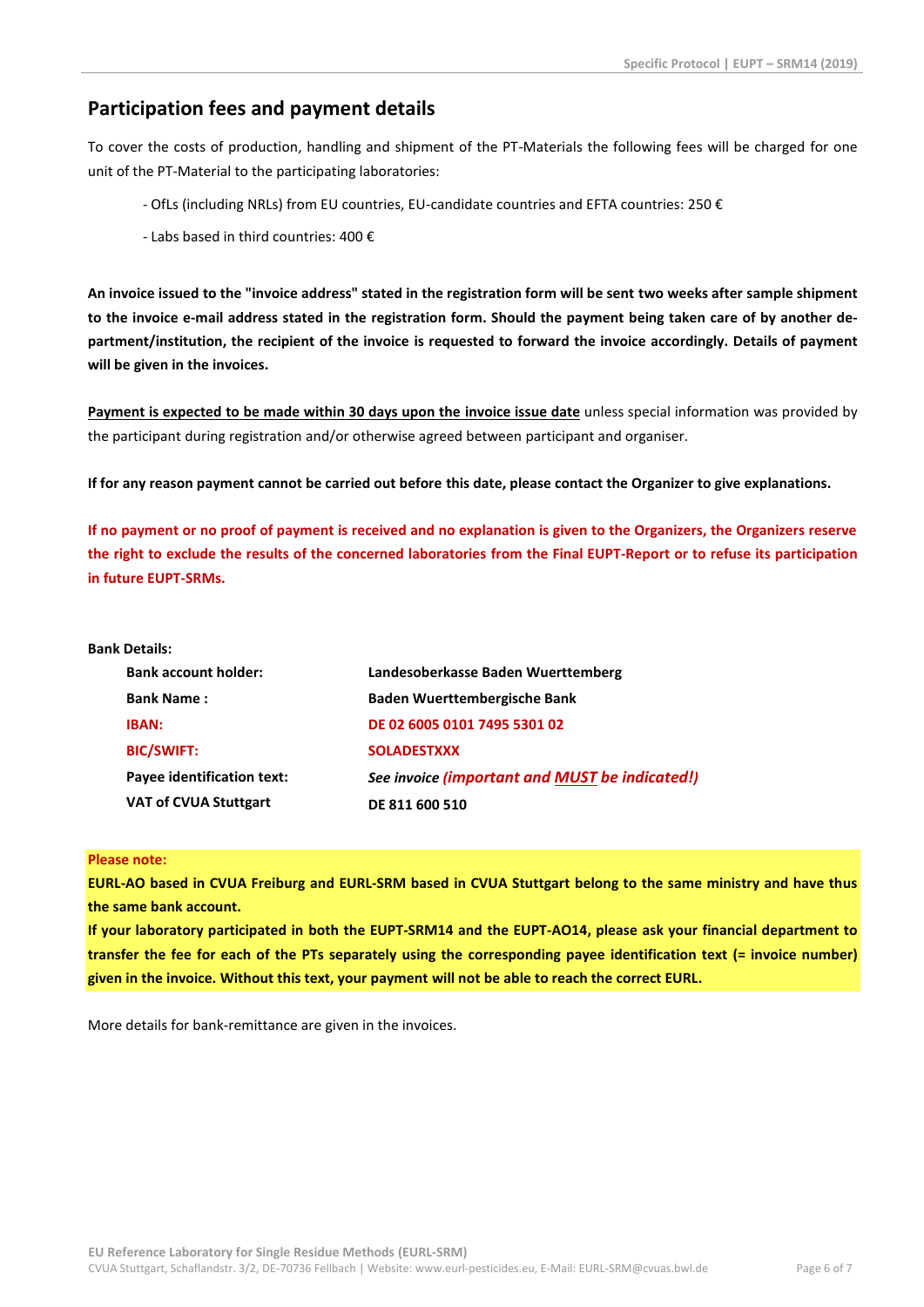# **Participation fees and payment details**

To cover the costs of production, handling and shipment of the PT-Materials the following fees will be charged for one unit of the PT-Material to the participating laboratories:

- OfLs (including NRLs) from EU countries, EU-candidate countries and EFTA countries: 250 €
- Labs based in third countries: 400 €

**An invoice issued to the "invoice address" stated in the registration form will be sent two weeks after sample shipment to the invoice e-mail address stated in the registration form. Should the payment being taken care of by another department/institution, the recipient of the invoice is requested to forward the invoice accordingly. Details of payment will be given in the invoices.**

**Payment is expected to be made within 30 days upon the invoice issue date** unless special information was provided by the participant during registration and/or otherwise agreed between participant and organiser.

**If for any reason payment cannot be carried out before this date, please contact the Organizer to give explanations.** 

**If no payment or no proof of payment is received and no explanation is given to the Organizers, the Organizers reserve the right to exclude the results of the concerned laboratories from the Final EUPT-Report or to refuse its participation in future EUPT-SRMs.**

#### **Bank Details:**

| <b>Bank account holder:</b>       | Landesoberkasse Baden Wuerttemberg             |
|-----------------------------------|------------------------------------------------|
| <b>Bank Name:</b>                 | <b>Baden Wuerttembergische Bank</b>            |
| <b>IBAN:</b>                      | DE 02 6005 0101 7495 5301 02                   |
| <b>BIC/SWIFT:</b>                 | <b>SOLADESTXXX</b>                             |
| <b>Payee identification text:</b> | See invoice (important and MUST be indicated!) |
| <b>VAT of CVUA Stuttgart</b>      | DE 811 600 510                                 |

## **Please note:**

**EURL-AO based in CVUA Freiburg and EURL-SRM based in CVUA Stuttgart belong to the same ministry and have thus the same bank account.**

**If your laboratory participated in both the EUPT-SRM14 and the EUPT-AO14, please ask your financial department to transfer the fee for each of the PTs separately using the corresponding payee identification text (= invoice number) given in the invoice. Without this text, your payment will not be able to reach the correct EURL.**

More details for bank-remittance are given in the invoices.